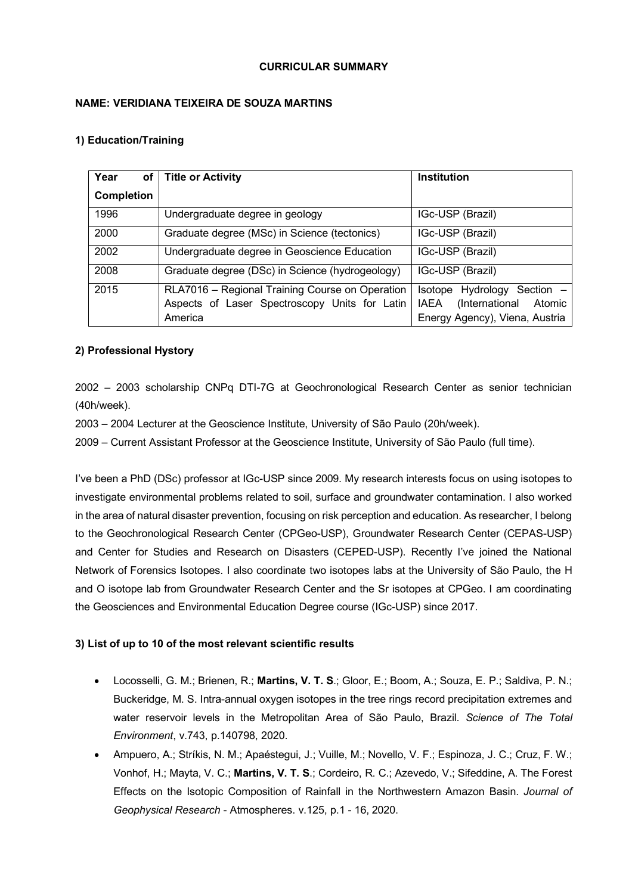## **CURRICULAR SUMMARY**

# **NAME: VERIDIANA TEIXEIRA DE SOUZA MARTINS**

## **1) Education/Training**

| Year<br>of <sub>l</sub> | <b>Title or Activity</b>                                                                                    | <b>Institution</b>                                                                                          |
|-------------------------|-------------------------------------------------------------------------------------------------------------|-------------------------------------------------------------------------------------------------------------|
| <b>Completion</b>       |                                                                                                             |                                                                                                             |
| 1996                    | Undergraduate degree in geology                                                                             | IGc-USP (Brazil)                                                                                            |
| 2000                    | Graduate degree (MSc) in Science (tectonics)                                                                | IGc-USP (Brazil)                                                                                            |
| 2002                    | Undergraduate degree in Geoscience Education                                                                | IGc-USP (Brazil)                                                                                            |
| 2008                    | Graduate degree (DSc) in Science (hydrogeology)                                                             | IGc-USP (Brazil)                                                                                            |
| 2015                    | RLA7016 - Regional Training Course on Operation<br>Aspects of Laser Spectroscopy Units for Latin<br>America | Hydrology Section -<br>Isotope<br>(International<br>Atomic<br><b>IAEA</b><br>Energy Agency), Viena, Austria |

# **2) Professional Hystory**

2002 – 2003 scholarship CNPq DTI-7G at Geochronological Research Center as senior technician (40h/week).

2003 – 2004 Lecturer at the Geoscience Institute, University of São Paulo (20h/week).

2009 – Current Assistant Professor at the Geoscience Institute, University of São Paulo (full time).

I've been a PhD (DSc) professor at IGc-USP since 2009. My research interests focus on using isotopes to investigate environmental problems related to soil, surface and groundwater contamination. I also worked in the area of natural disaster prevention, focusing on risk perception and education. As researcher, I belong to the Geochronological Research Center (CPGeo-USP), Groundwater Research Center (CEPAS-USP) and Center for Studies and Research on Disasters (CEPED-USP). Recently I've joined the National Network of Forensics Isotopes. I also coordinate two isotopes labs at the University of São Paulo, the H and O isotope lab from Groundwater Research Center and the Sr isotopes at CPGeo. I am coordinating the Geosciences and Environmental Education Degree course (IGc-USP) since 2017.

## **3) List of up to 10 of the most relevant scientific results**

- Locosselli, G. M.; Brienen, R.; **Martins, V. T. S**.; Gloor, E.; Boom, A.; Souza, E. P.; Saldiva, P. N.; Buckeridge, M. S. Intra-annual oxygen isotopes in the tree rings record precipitation extremes and water reservoir levels in the Metropolitan Area of São Paulo, Brazil. *Science of The Total Environment*, v.743, p.140798, 2020.
- Ampuero, A.; Stríkis, N. M.; Apaéstegui, J.; Vuille, M.; Novello, V. F.; Espinoza, J. C.; Cruz, F. W.; Vonhof, H.; Mayta, V. C.; **Martins, V. T. S**.; Cordeiro, R. C.; Azevedo, V.; Sifeddine, A. The Forest Effects on the Isotopic Composition of Rainfall in the Northwestern Amazon Basin. *Journal of Geophysical Research* - Atmospheres. v.125, p.1 - 16, 2020.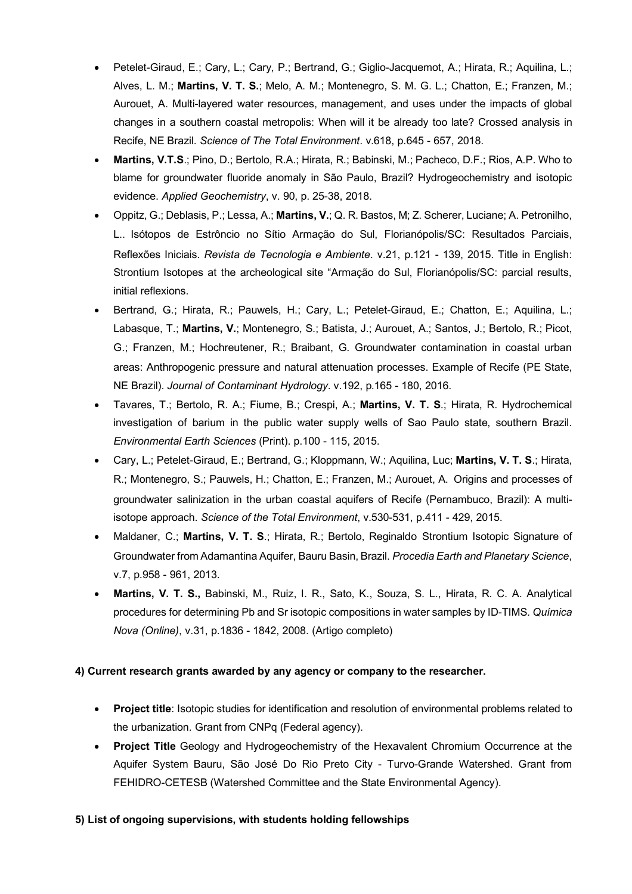- Petelet-Giraud, E.; Cary, L.; Cary, P.; Bertrand, G.; Giglio-Jacquemot, A.; Hirata, R.; Aquilina, L.; Alves, L. M.; **Martins, V. T. S.**; Melo, A. M.; Montenegro, S. M. G. L.; Chatton, E.; Franzen, M.; Aurouet, A. Multi-layered water resources, management, and uses under the impacts of global changes in a southern coastal metropolis: When will it be already too late? Crossed analysis in Recife, NE Brazil. *Science of The Total Environment*. v.618, p.645 - 657, 2018.
- **Martins, V.T.S**.; Pino, D.; Bertolo, R.A.; Hirata, R.; Babinski, M.; Pacheco, D.F.; Rios, A.P. Who to blame for groundwater fluoride anomaly in São Paulo, Brazil? Hydrogeochemistry and isotopic evidence. *Applied Geochemistry*, v. 90, p. 25-38, 2018.
- Oppitz, G.; Deblasis, P.; Lessa, A.; **Martins, V.**; Q. R. Bastos, M; Z. Scherer, Luciane; A. Petronilho, L.. Isótopos de Estrôncio no Sítio Armação do Sul, Florianópolis/SC: Resultados Parciais, Reflexões Iniciais. *Revista de Tecnologia e Ambiente*. v.21, p.121 - 139, 2015. Title in English: Strontium Isotopes at the archeological site "Armação do Sul, Florianópolis/SC: parcial results, initial reflexions.
- Bertrand, G.; Hirata, R.; Pauwels, H.; Cary, L.; Petelet-Giraud, E.; Chatton, E.; Aquilina, L.; Labasque, T.; **Martins, V.**; Montenegro, S.; Batista, J.; Aurouet, A.; Santos, J.; Bertolo, R.; Picot, G.; Franzen, M.; Hochreutener, R.; Braibant, G. Groundwater contamination in coastal urban areas: Anthropogenic pressure and natural attenuation processes. Example of Recife (PE State, NE Brazil). *Journal of Contaminant Hydrology*. v.192, p.165 - 180, 2016.
- Tavares, T.; Bertolo, R. A.; Fiume, B.; Crespi, A.; **Martins, V. T. S**.; Hirata, R. Hydrochemical investigation of barium in the public water supply wells of Sao Paulo state, southern Brazil. *Environmental Earth Sciences* (Print). p.100 - 115, 2015.
- Cary, L.; Petelet-Giraud, E.; Bertrand, G.; Kloppmann, W.; Aquilina, Luc; **Martins, V. T. S**.; Hirata, R.; Montenegro, S.; Pauwels, H.; Chatton, E.; Franzen, M.; Aurouet, A. Origins and processes of groundwater salinization in the urban coastal aquifers of Recife (Pernambuco, Brazil): A multiisotope approach. *Science of the Total Environment*, v.530-531, p.411 - 429, 2015.
- Maldaner, C.; **Martins, V. T. S**.; Hirata, R.; Bertolo, Reginaldo Strontium Isotopic Signature of Groundwater from Adamantina Aquifer, Bauru Basin, Brazil. *Procedia Earth and Planetary Science*, v.7, p.958 - 961, 2013.
- **Martins, V. T. S.,** Babinski, M., Ruiz, I. R., Sato, K., Souza, S. L., Hirata, R. C. A. Analytical procedures for determining Pb and Sr isotopic compositions in water samples by ID-TIMS. *Química Nova (Online)*, v.31, p.1836 - 1842, 2008. (Artigo completo)

# **4) Current research grants awarded by any agency or company to the researcher.**

- **Project title**: Isotopic studies for identification and resolution of environmental problems related to the urbanization. Grant from CNPq (Federal agency).
- **Project Title** Geology and Hydrogeochemistry of the Hexavalent Chromium Occurrence at the Aquifer System Bauru, São José Do Rio Preto City - Turvo-Grande Watershed. Grant from FEHIDRO-CETESB (Watershed Committee and the State Environmental Agency).

## **5) List of ongoing supervisions, with students holding fellowships**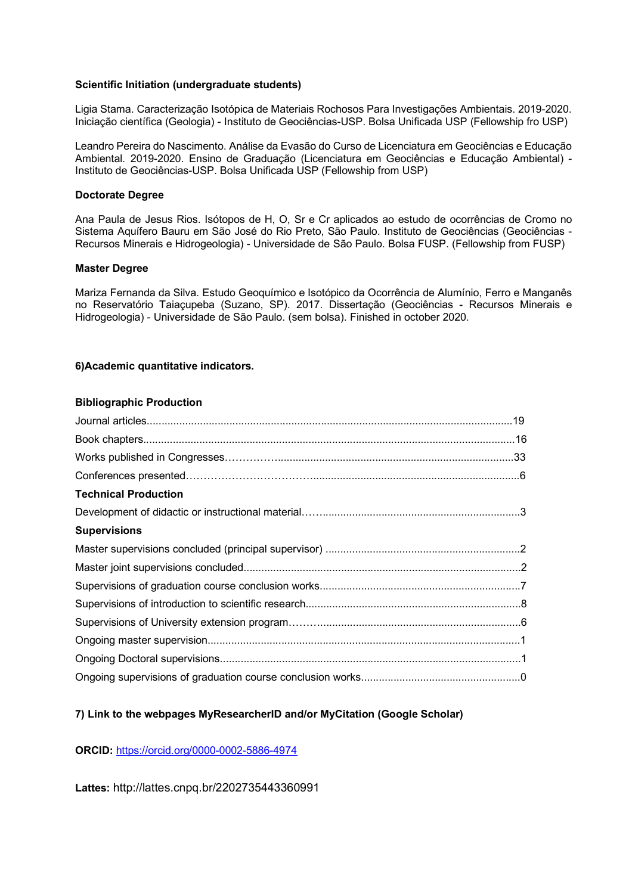#### **Scientific Initiation (undergraduate students)**

Ligia Stama. Caracterização Isotópica de Materiais Rochosos Para Investigações Ambientais. 2019-2020. Iniciação científica (Geologia) - Instituto de Geociências-USP. Bolsa Unificada USP (Fellowship fro USP)

Leandro Pereira do Nascimento. Análise da Evasão do Curso de Licenciatura em Geociências e Educação Ambiental. 2019-2020. Ensino de Graduação (Licenciatura em Geociências e Educação Ambiental) - Instituto de Geociências-USP. Bolsa Unificada USP (Fellowship from USP)

#### **Doctorate Degree**

Ana Paula de Jesus Rios. Isótopos de H, O, Sr e Cr aplicados ao estudo de ocorrências de Cromo no Sistema Aquífero Bauru em São José do Rio Preto, São Paulo. Instituto de Geociências (Geociências - Recursos Minerais e Hidrogeologia) - Universidade de São Paulo. Bolsa FUSP. (Fellowship from FUSP)

#### **Master Degree**

Mariza Fernanda da Silva. Estudo Geoquímico e Isotópico da Ocorrência de Alumínio, Ferro e Manganês no Reservatório Taiaçupeba (Suzano, SP). 2017. Dissertação (Geociências - Recursos Minerais e Hidrogeologia) - Universidade de São Paulo. (sem bolsa). Finished in october 2020.

#### **6)Academic quantitative indicators.**

#### **Bibliographic Production**

| <b>Technical Production</b> |  |
|-----------------------------|--|
|                             |  |
| <b>Supervisions</b>         |  |
|                             |  |
|                             |  |
|                             |  |
|                             |  |
|                             |  |
|                             |  |
|                             |  |
|                             |  |

## **7) Link to the webpages MyResearcherID and/or MyCitation (Google Scholar)**

## **ORCID:** https://orcid.org/0000-0002-5886-4974

**Lattes:** http://lattes.cnpq.br/2202735443360991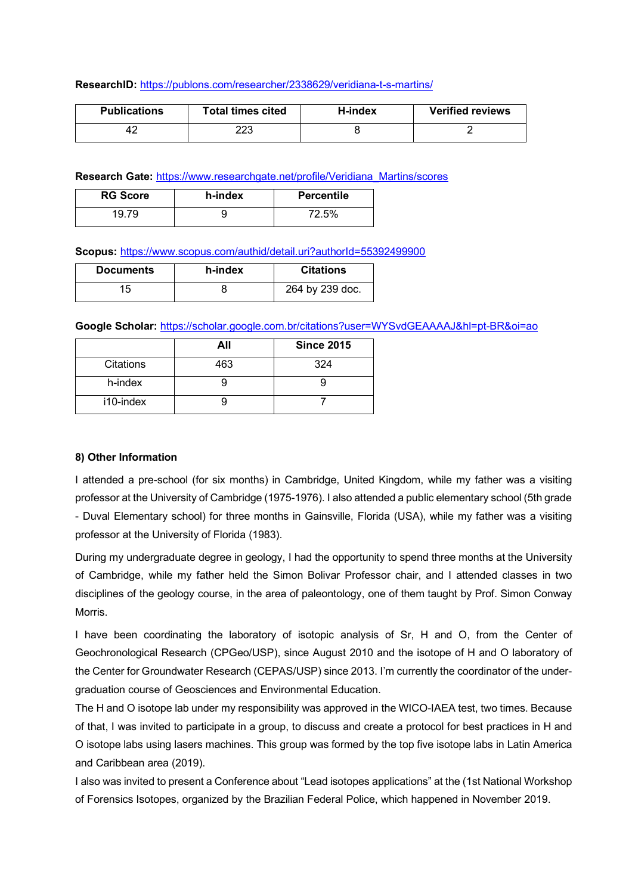#### **ResearchID:** https://publons.com/researcher/2338629/veridiana-t-s-martins/

| <b>Publications</b> | <b>Total times cited</b> | H-index | <b>Verified reviews</b> |
|---------------------|--------------------------|---------|-------------------------|
|                     | מממ<br>ددن               |         |                         |

**Research Gate:** https://www.researchgate.net/profile/Veridiana\_Martins/scores

| <b>RG Score</b> | h-index | <b>Percentile</b> |
|-----------------|---------|-------------------|
| 10 70           |         | 72.5%             |

**Scopus:** https://www.scopus.com/authid/detail.uri?authorId=55392499900

| <b>Documents</b> | h-index | <b>Citations</b> |
|------------------|---------|------------------|
| 15               |         | 264 by 239 doc.  |

**Google Scholar:** https://scholar.google.com.br/citations?user=WYSvdGEAAAAJ&hl=pt-BR&oi=ao

|           | All | <b>Since 2015</b> |
|-----------|-----|-------------------|
| Citations | 463 | 324               |
| h-index   |     |                   |
| i10-index |     |                   |

## **8) Other Information**

I attended a pre-school (for six months) in Cambridge, United Kingdom, while my father was a visiting professor at the University of Cambridge (1975-1976). I also attended a public elementary school (5th grade - Duval Elementary school) for three months in Gainsville, Florida (USA), while my father was a visiting professor at the University of Florida (1983).

During my undergraduate degree in geology, I had the opportunity to spend three months at the University of Cambridge, while my father held the Simon Bolivar Professor chair, and I attended classes in two disciplines of the geology course, in the area of paleontology, one of them taught by Prof. Simon Conway Morris.

I have been coordinating the laboratory of isotopic analysis of Sr, H and O, from the Center of Geochronological Research (CPGeo/USP), since August 2010 and the isotope of H and O laboratory of the Center for Groundwater Research (CEPAS/USP) since 2013. I'm currently the coordinator of the undergraduation course of Geosciences and Environmental Education.

The H and O isotope lab under my responsibility was approved in the WICO-IAEA test, two times. Because of that, I was invited to participate in a group, to discuss and create a protocol for best practices in H and O isotope labs using lasers machines. This group was formed by the top five isotope labs in Latin America and Caribbean area (2019).

I also was invited to present a Conference about "Lead isotopes applications" at the (1st National Workshop of Forensics Isotopes, organized by the Brazilian Federal Police, which happened in November 2019.